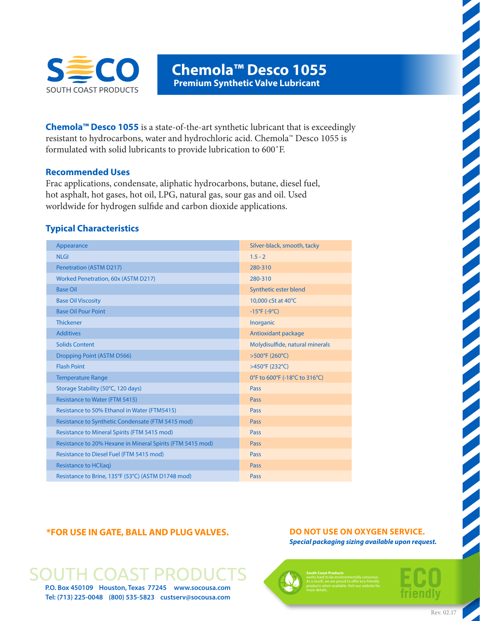

**Chemola™ Desco 1055 Premium Synthetic Valve Lubricant**

**Chemola™ Desco 1055** is a state-of-the-art synthetic lubricant that is exceedingly resistant to hydrocarbons, water and hydrochloric acid. Chemola™ Desco 1055 is formulated with solid lubricants to provide lubrication to 600˚F.

#### **Recommended Uses**

Frac applications, condensate, aliphatic hydrocarbons, butane, diesel fuel, hot asphalt, hot gases, hot oil, LPG, natural gas, sour gas and oil. Used worldwide for hydrogen sulfide and carbon dioxide applications.

#### **Typical Characteristics**

| Appearance                                                 | Silver-black, smooth, tacky     |  |
|------------------------------------------------------------|---------------------------------|--|
| <b>NLGI</b>                                                | $1.5 - 2$                       |  |
| <b>Penetration (ASTM D217)</b>                             | 280-310                         |  |
| Worked Penetration, 60x (ASTM D217)                        | 280-310                         |  |
| <b>Base Oil</b>                                            | Synthetic ester blend           |  |
| <b>Base Oil Viscosity</b>                                  | 10,000 cSt at 40°C              |  |
| <b>Base Oil Pour Point</b>                                 | $-15^{\circ}F(-9^{\circ}C)$     |  |
| <b>Thickener</b>                                           | Inorganic                       |  |
| <b>Additives</b>                                           | Antioxidant package             |  |
| <b>Solids Content</b>                                      | Molydisulfide, natural minerals |  |
| Dropping Point (ASTM D566)                                 | >500°F (260°C)                  |  |
| <b>Flash Point</b>                                         | >450°F (232°C)                  |  |
| <b>Temperature Range</b>                                   | 0°F to 600°F (-18°C to 316°C)   |  |
| Storage Stability (50°C, 120 days)                         | Pass                            |  |
| <b>Resistance to Water (FTM 5415)</b>                      | Pass                            |  |
| Resistance to 50% Ethanol in Water (FTM5415)               | Pass                            |  |
| Resistance to Synthetic Condensate (FTM 5415 mod)          | Pass                            |  |
| Resistance to Mineral Spirits (FTM 5415 mod)               | <b>Pass</b>                     |  |
| Resistance to 20% Hexane in Mineral Spirits (FTM 5415 mod) | Pass                            |  |
| Resistance to Diesel Fuel (FTM 5415 mod)                   | <b>Pass</b>                     |  |
| Resistance to HCl(aq)                                      | <b>Pass</b>                     |  |
| Resistance to Brine, 135°F (53°C) (ASTM D1748 mod)         | Pass                            |  |

#### **\*FOR USE IN GATE, BALL AND PLUG VALVES.**

# **P.O. Box 450109 Houston, Texas 77245 www.socousa.com**

**Tel: (713) 225-0048 (800) 535-5823 custserv@socousa.com**

#### **DO NOT USE ON OXYGEN SERVICE.** *Special packaging sizing available upon request.*



**South Coast Products**